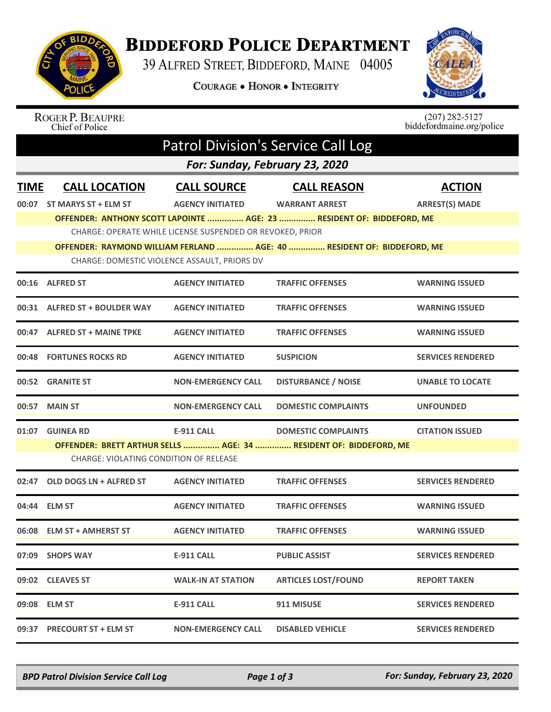

## **BIDDEFORD POLICE DEPARTMENT**

39 ALFRED STREET, BIDDEFORD, MAINE 04005

**COURAGE . HONOR . INTEGRITY** 



## $(207)$  282-5127 **ROGER P. BEAUPRE** biddefordmaine.org/police Chief of Police Patrol Division's Service Call Log *For: Sunday, February 23, 2020* **TIME CALL LOCATION CALL SOURCE CALL REASON ACTION 00:07 ST MARYS ST + ELM ST AGENCY INITIATED WARRANT ARREST ARREST(S) MADE OFFENDER: ANTHONY SCOTT LAPOINTE ............... AGE: 23 ............... RESIDENT OF: BIDDEFORD, ME** CHARGE: OPERATE WHILE LICENSE SUSPENDED OR REVOKED, PRIOR **OFFENDER: RAYMOND WILLIAM FERLAND ............... AGE: 40 ............... RESIDENT OF: BIDDEFORD, ME** CHARGE: DOMESTIC VIOLENCE ASSAULT, PRIORS DV **00:16 ALFRED ST AGENCY INITIATED TRAFFIC OFFENSES WARNING ISSUED 00:31 ALFRED ST + BOULDER WAY AGENCY INITIATED TRAFFIC OFFENSES WARNING ISSUED 00:47 ALFRED ST + MAINE TPKE AGENCY INITIATED TRAFFIC OFFENSES WARNING ISSUED 00:48 FORTUNES ROCKS RD AGENCY INITIATED SUSPICION SERVICES RENDERED 00:52 GRANITE ST NON-EMERGENCY CALL DISTURBANCE / NOISE UNABLE TO LOCATE 00:57 MAIN ST NON-EMERGENCY CALL DOMESTIC COMPLAINTS UNFOUNDED 01:07 GUINEA RD E-911 CALL DOMESTIC COMPLAINTS CITATION ISSUED OFFENDER: BRETT ARTHUR SELLS ............... AGE: 34 ............... RESIDENT OF: BIDDEFORD, ME** CHARGE: VIOLATING CONDITION OF RELEASE **02:47 OLD DOGS LN + ALFRED ST AGENCY INITIATED TRAFFIC OFFENSES SERVICES RENDERED 04:44 ELM ST AGENCY INITIATED TRAFFIC OFFENSES WARNING ISSUED 06:08 ELM ST + AMHERST ST AGENCY INITIATED TRAFFIC OFFENSES WARNING ISSUED 07:09 SHOPS WAY E-911 CALL PUBLIC ASSIST SERVICES RENDERED 09:02 CLEAVES ST WALK-IN AT STATION ARTICLES LOST/FOUND REPORT TAKEN 09:08 ELM ST E-911 CALL 911 MISUSE SERVICES RENDERED 09:37 PRECOURT ST + ELM ST NON-EMERGENCY CALL DISABLED VEHICLE SERVICES RENDERED**

*BPD Patrol Division Service Call Log Page 1 of 3 For: Sunday, February 23, 2020*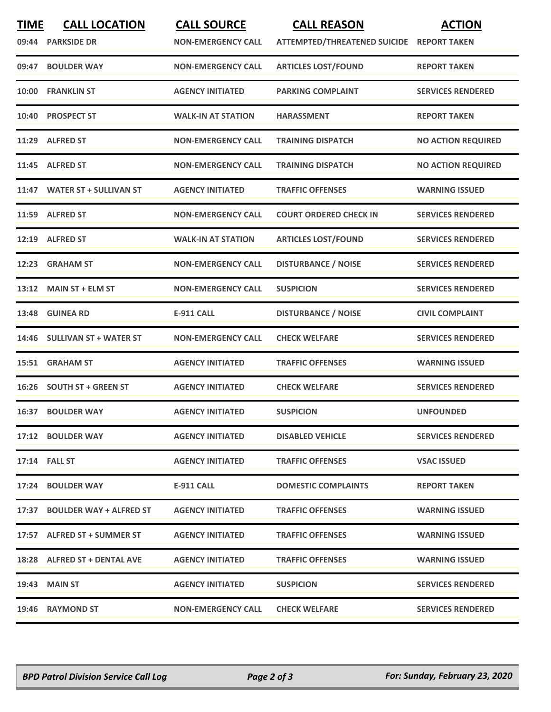| <b>TIME</b><br>09:44 | <b>CALL LOCATION</b><br><b>PARKSIDE DR</b> | <b>CALL SOURCE</b><br><b>NON-EMERGENCY CALL</b> | <b>CALL REASON</b><br>ATTEMPTED/THREATENED SUICIDE REPORT TAKEN | <b>ACTION</b>             |
|----------------------|--------------------------------------------|-------------------------------------------------|-----------------------------------------------------------------|---------------------------|
| 09:47                | <b>BOULDER WAY</b>                         | <b>NON-EMERGENCY CALL</b>                       | <b>ARTICLES LOST/FOUND</b>                                      | <b>REPORT TAKEN</b>       |
| 10:00                | <b>FRANKLIN ST</b>                         | <b>AGENCY INITIATED</b>                         | <b>PARKING COMPLAINT</b>                                        | <b>SERVICES RENDERED</b>  |
| 10:40                | <b>PROSPECT ST</b>                         | <b>WALK-IN AT STATION</b>                       | <b>HARASSMENT</b>                                               | <b>REPORT TAKEN</b>       |
| 11:29                | <b>ALFRED ST</b>                           | <b>NON-EMERGENCY CALL</b>                       | <b>TRAINING DISPATCH</b>                                        | <b>NO ACTION REQUIRED</b> |
|                      | 11:45 ALFRED ST                            | <b>NON-EMERGENCY CALL</b>                       | <b>TRAINING DISPATCH</b>                                        | <b>NO ACTION REQUIRED</b> |
| 11:47                | <b>WATER ST + SULLIVAN ST</b>              | <b>AGENCY INITIATED</b>                         | <b>TRAFFIC OFFENSES</b>                                         | <b>WARNING ISSUED</b>     |
|                      | 11:59 ALFRED ST                            | <b>NON-EMERGENCY CALL</b>                       | <b>COURT ORDERED CHECK IN</b>                                   | <b>SERVICES RENDERED</b>  |
| 12:19                | <b>ALFRED ST</b>                           | <b>WALK-IN AT STATION</b>                       | <b>ARTICLES LOST/FOUND</b>                                      | <b>SERVICES RENDERED</b>  |
| 12:23                | <b>GRAHAM ST</b>                           | <b>NON-EMERGENCY CALL</b>                       | <b>DISTURBANCE / NOISE</b>                                      | <b>SERVICES RENDERED</b>  |
|                      | 13:12 MAIN ST + ELM ST                     | <b>NON-EMERGENCY CALL</b>                       | <b>SUSPICION</b>                                                | <b>SERVICES RENDERED</b>  |
| 13:48                | <b>GUINEA RD</b>                           | <b>E-911 CALL</b>                               | <b>DISTURBANCE / NOISE</b>                                      | <b>CIVIL COMPLAINT</b>    |
|                      | 14:46 SULLIVAN ST + WATER ST               | <b>NON-EMERGENCY CALL</b>                       | <b>CHECK WELFARE</b>                                            | <b>SERVICES RENDERED</b>  |
| 15:51                | <b>GRAHAM ST</b>                           | <b>AGENCY INITIATED</b>                         | <b>TRAFFIC OFFENSES</b>                                         | <b>WARNING ISSUED</b>     |
|                      | 16:26 SOUTH ST + GREEN ST                  | <b>AGENCY INITIATED</b>                         | <b>CHECK WELFARE</b>                                            | <b>SERVICES RENDERED</b>  |
|                      | 16:37 BOULDER WAY                          | <b>AGENCY INITIATED</b>                         | <b>SUSPICION</b>                                                | <b>UNFOUNDED</b>          |
|                      | 17:12 BOULDER WAY                          | <b>AGENCY INITIATED</b>                         | <b>DISABLED VEHICLE</b>                                         | <b>SERVICES RENDERED</b>  |
|                      | <b>17:14 FALL ST</b>                       | <b>AGENCY INITIATED</b>                         | <b>TRAFFIC OFFENSES</b>                                         | <b>VSAC ISSUED</b>        |
|                      | 17:24 BOULDER WAY                          | <b>E-911 CALL</b>                               | <b>DOMESTIC COMPLAINTS</b>                                      | <b>REPORT TAKEN</b>       |
|                      | 17:37 BOULDER WAY + ALFRED ST              | <b>AGENCY INITIATED</b>                         | <b>TRAFFIC OFFENSES</b>                                         | <b>WARNING ISSUED</b>     |
|                      | 17:57 ALFRED ST + SUMMER ST                | <b>AGENCY INITIATED</b>                         | <b>TRAFFIC OFFENSES</b>                                         | <b>WARNING ISSUED</b>     |
|                      | 18:28 ALFRED ST + DENTAL AVE               | <b>AGENCY INITIATED</b>                         | <b>TRAFFIC OFFENSES</b>                                         | <b>WARNING ISSUED</b>     |
|                      | 19:43 MAIN ST                              | <b>AGENCY INITIATED</b>                         | <b>SUSPICION</b>                                                | <b>SERVICES RENDERED</b>  |
|                      | 19:46 RAYMOND ST                           | <b>NON-EMERGENCY CALL</b>                       | <b>CHECK WELFARE</b>                                            | <b>SERVICES RENDERED</b>  |